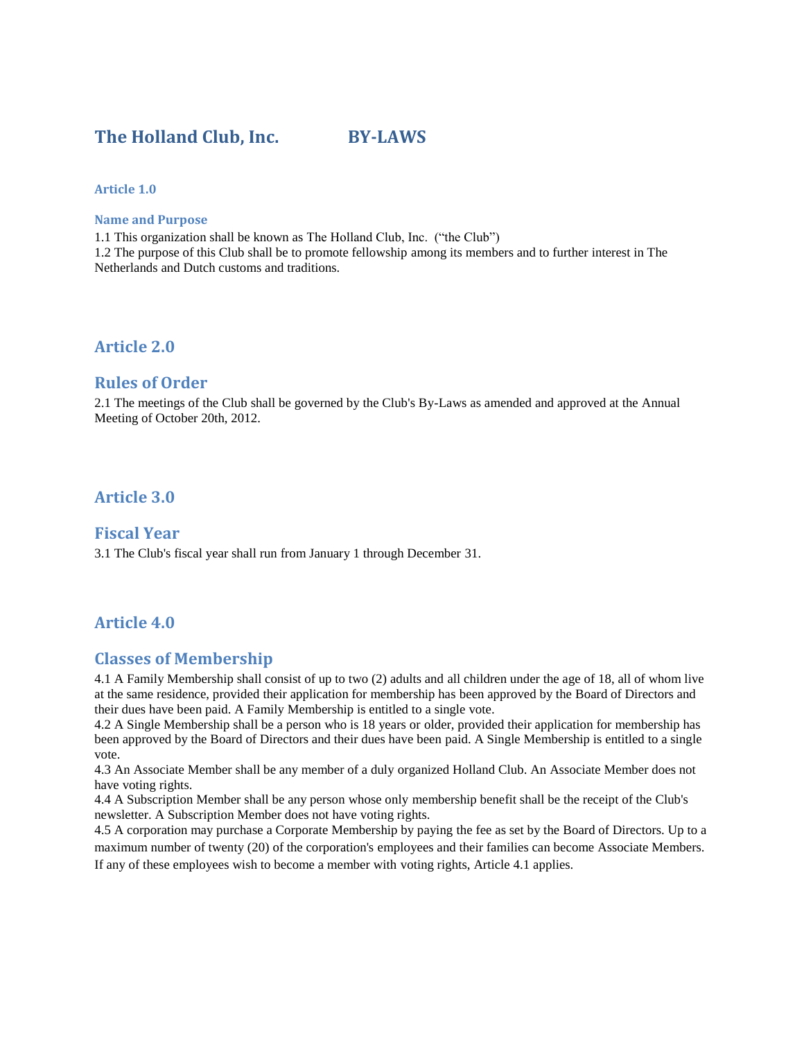# **The Holland Club, Inc. BY-LAWS**

#### **Article 1.0**

#### **Name and Purpose**

1.1 This organization shall be known as The Holland Club, Inc. ("the Club") 1.2 The purpose of this Club shall be to promote fellowship among its members and to further interest in The Netherlands and Dutch customs and traditions.

### **Article 2.0**

#### **Rules of Order**

2.1 The meetings of the Club shall be governed by the Club's By-Laws as amended and approved at the Annual Meeting of October 20th, 2012.

### **Article 3.0**

#### **Fiscal Year**

3.1 The Club's fiscal year shall run from January 1 through December 31.

### **Article 4.0**

### **Classes of Membership**

4.1 A Family Membership shall consist of up to two (2) adults and all children under the age of 18, all of whom live at the same residence, provided their application for membership has been approved by the Board of Directors and their dues have been paid. A Family Membership is entitled to a single vote.

4.2 A Single Membership shall be a person who is 18 years or older, provided their application for membership has been approved by the Board of Directors and their dues have been paid. A Single Membership is entitled to a single vote.

4.3 An Associate Member shall be any member of a duly organized Holland Club. An Associate Member does not have voting rights.

4.4 A Subscription Member shall be any person whose only membership benefit shall be the receipt of the Club's newsletter. A Subscription Member does not have voting rights.

4.5 A corporation may purchase a Corporate Membership by paying the fee as set by the Board of Directors. Up to a maximum number of twenty (20) of the corporation's employees and their families can become Associate Members. If any of these employees wish to become a member with voting rights, Article 4.1 applies.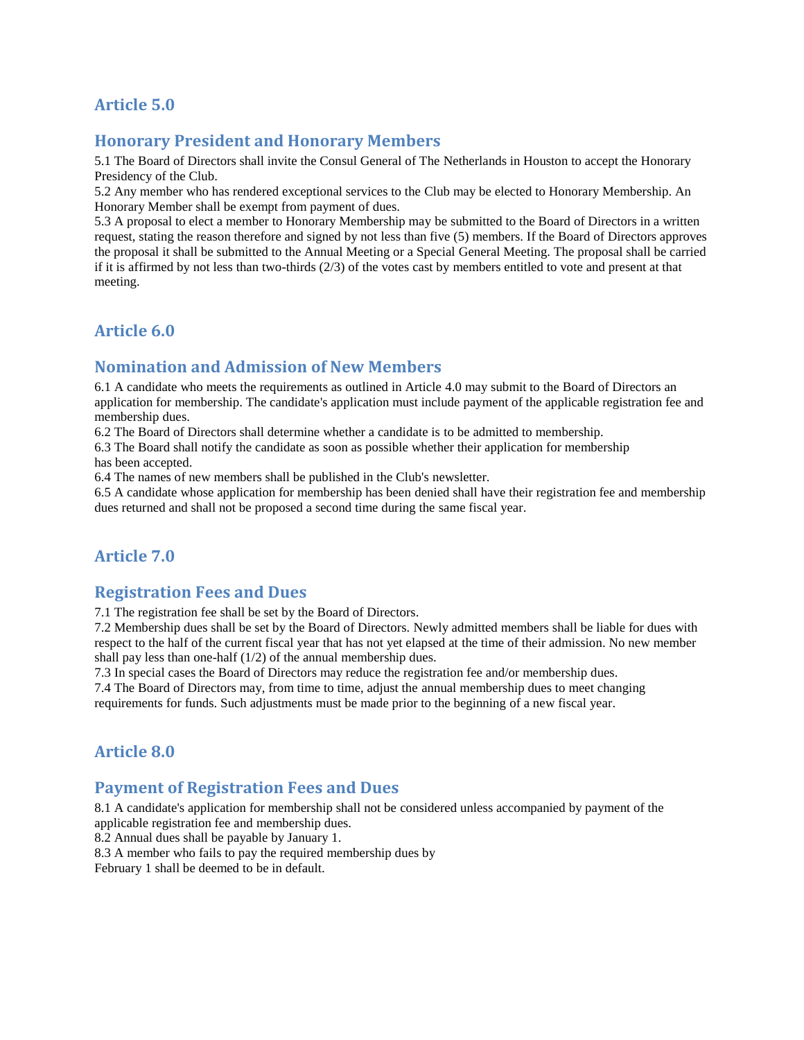# **Article 5.0**

### **Honorary President and Honorary Members**

5.1 The Board of Directors shall invite the Consul General of The Netherlands in Houston to accept the Honorary Presidency of the Club.

5.2 Any member who has rendered exceptional services to the Club may be elected to Honorary Membership. An Honorary Member shall be exempt from payment of dues.

5.3 A proposal to elect a member to Honorary Membership may be submitted to the Board of Directors in a written request, stating the reason therefore and signed by not less than five (5) members. If the Board of Directors approves the proposal it shall be submitted to the Annual Meeting or a Special General Meeting. The proposal shall be carried if it is affirmed by not less than two-thirds  $(2/3)$  of the votes cast by members entitled to vote and present at that meeting.

### **Article 6.0**

### **Nomination and Admission of New Members**

6.1 A candidate who meets the requirements as outlined in Article 4.0 may submit to the Board of Directors an application for membership. The candidate's application must include payment of the applicable registration fee and membership dues.

6.2 The Board of Directors shall determine whether a candidate is to be admitted to membership.

6.3 The Board shall notify the candidate as soon as possible whether their application for membership has been accepted.

6.4 The names of new members shall be published in the Club's newsletter.

6.5 A candidate whose application for membership has been denied shall have their registration fee and membership dues returned and shall not be proposed a second time during the same fiscal year.

# **Article 7.0**

### **Registration Fees and Dues**

7.1 The registration fee shall be set by the Board of Directors.

7.2 Membership dues shall be set by the Board of Directors. Newly admitted members shall be liable for dues with respect to the half of the current fiscal year that has not yet elapsed at the time of their admission. No new member shall pay less than one-half (1/2) of the annual membership dues.

7.3 In special cases the Board of Directors may reduce the registration fee and/or membership dues.

7.4 The Board of Directors may, from time to time, adjust the annual membership dues to meet changing requirements for funds. Such adjustments must be made prior to the beginning of a new fiscal year.

### **Article 8.0**

### **Payment of Registration Fees and Dues**

8.1 A candidate's application for membership shall not be considered unless accompanied by payment of the applicable registration fee and membership dues.

8.2 Annual dues shall be payable by January 1.

8.3 A member who fails to pay the required membership dues by

February 1 shall be deemed to be in default.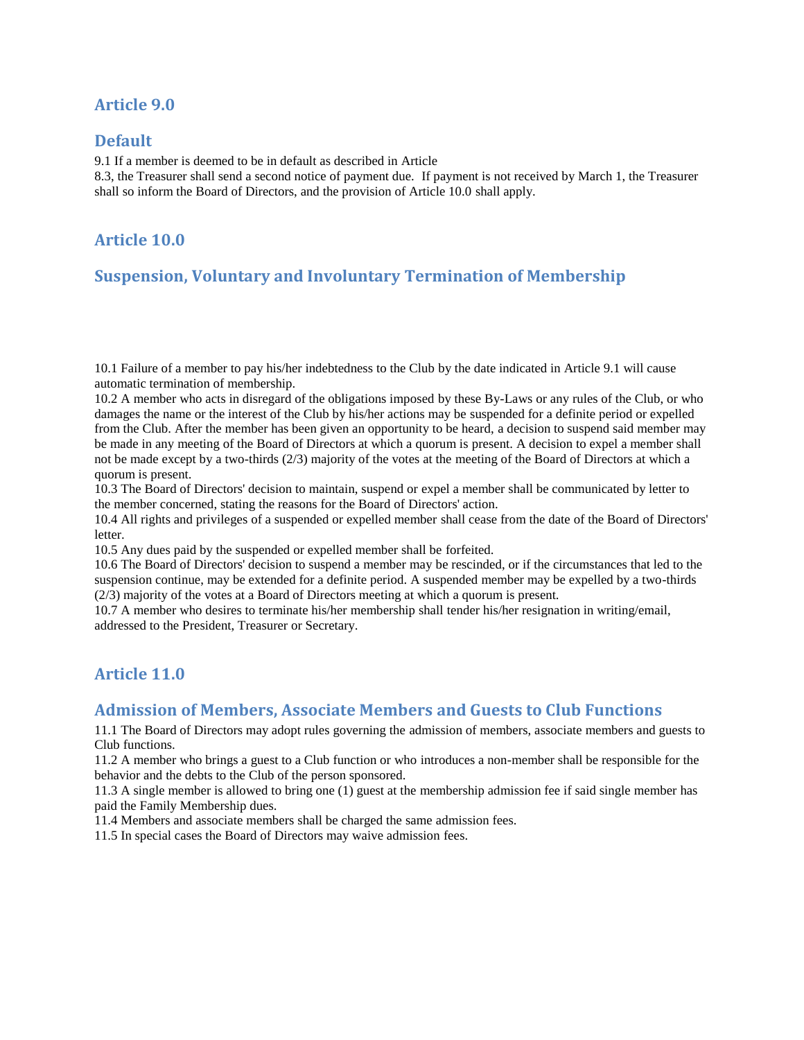## **Article 9.0**

### **Default**

9.1 If a member is deemed to be in default as described in Article

8.3, the Treasurer shall send a second notice of payment due. If payment is not received by March 1, the Treasurer shall so inform the Board of Directors, and the provision of Article 10.0 shall apply.

# **Article 10.0**

# **Suspension, Voluntary and Involuntary Termination of Membership**

10.1 Failure of a member to pay his/her indebtedness to the Club by the date indicated in Article 9.1 will cause automatic termination of membership.

10.2 A member who acts in disregard of the obligations imposed by these By-Laws or any rules of the Club, or who damages the name or the interest of the Club by his/her actions may be suspended for a definite period or expelled from the Club. After the member has been given an opportunity to be heard, a decision to suspend said member may be made in any meeting of the Board of Directors at which a quorum is present. A decision to expel a member shall not be made except by a two-thirds (2/3) majority of the votes at the meeting of the Board of Directors at which a quorum is present.

10.3 The Board of Directors' decision to maintain, suspend or expel a member shall be communicated by letter to the member concerned, stating the reasons for the Board of Directors' action.

10.4 All rights and privileges of a suspended or expelled member shall cease from the date of the Board of Directors' letter.

10.5 Any dues paid by the suspended or expelled member shall be forfeited.

10.6 The Board of Directors' decision to suspend a member may be rescinded, or if the circumstances that led to the suspension continue, may be extended for a definite period. A suspended member may be expelled by a two-thirds (2/3) majority of the votes at a Board of Directors meeting at which a quorum is present.

10.7 A member who desires to terminate his/her membership shall tender his/her resignation in writing/email, addressed to the President, Treasurer or Secretary.

# **Article 11.0**

### **Admission of Members, Associate Members and Guests to Club Functions**

11.1 The Board of Directors may adopt rules governing the admission of members, associate members and guests to Club functions.

11.2 A member who brings a guest to a Club function or who introduces a non-member shall be responsible for the behavior and the debts to the Club of the person sponsored.

11.3 A single member is allowed to bring one (1) guest at the membership admission fee if said single member has paid the Family Membership dues.

11.4 Members and associate members shall be charged the same admission fees.

11.5 In special cases the Board of Directors may waive admission fees.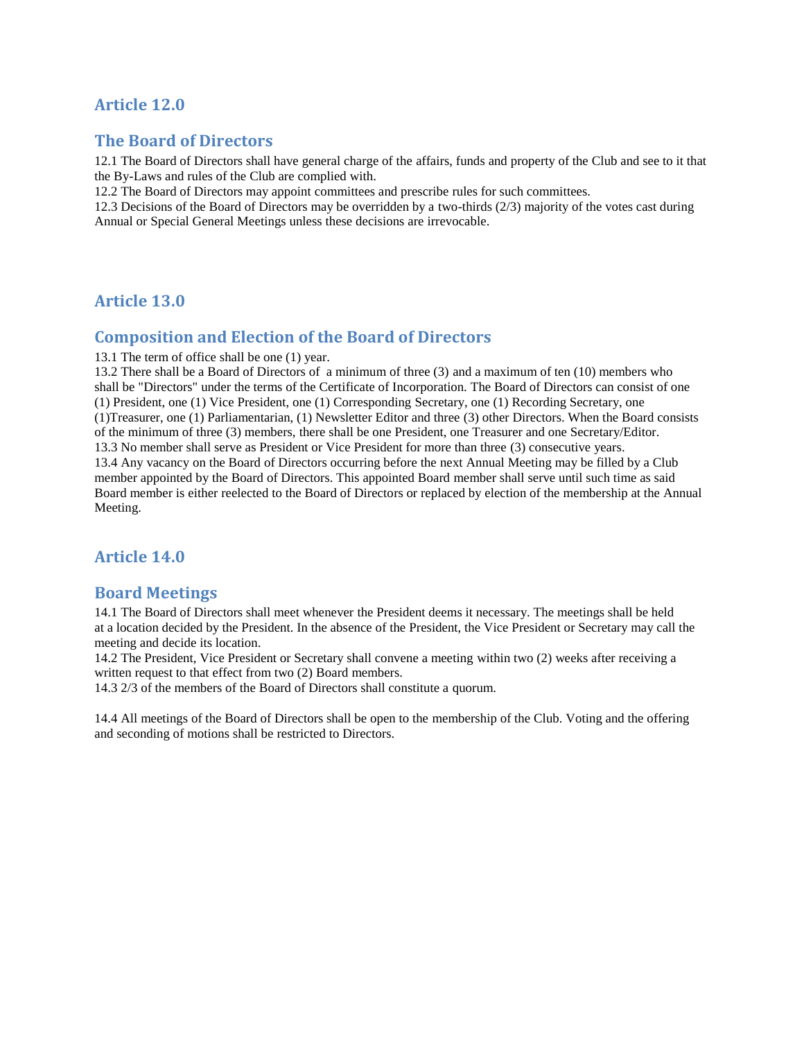## **Article 12.0**

### **The Board of Directors**

12.1 The Board of Directors shall have general charge of the affairs, funds and property of the Club and see to it that the By-Laws and rules of the Club are complied with.

12.2 The Board of Directors may appoint committees and prescribe rules for such committees.

12.3 Decisions of the Board of Directors may be overridden by a two-thirds (2/3) majority of the votes cast during Annual or Special General Meetings unless these decisions are irrevocable.

### **Article 13.0**

### **Composition and Election of the Board of Directors**

13.1 The term of office shall be one (1) year.

13.2 There shall be a Board of Directors of a minimum of three (3) and a maximum of ten (10) members who shall be "Directors" under the terms of the Certificate of Incorporation. The Board of Directors can consist of one (1) President, one (1) Vice President, one (1) Corresponding Secretary, one (1) Recording Secretary, one (1)Treasurer, one (1) Parliamentarian, (1) Newsletter Editor and three (3) other Directors. When the Board consists of the minimum of three (3) members, there shall be one President, one Treasurer and one Secretary/Editor. 13.3 No member shall serve as President or Vice President for more than three (3) consecutive years. 13.4 Any vacancy on the Board of Directors occurring before the next Annual Meeting may be filled by a Club member appointed by the Board of Directors. This appointed Board member shall serve until such time as said Board member is either reelected to the Board of Directors or replaced by election of the membership at the Annual Meeting.

### **Article 14.0**

### **Board Meetings**

14.1 The Board of Directors shall meet whenever the President deems it necessary. The meetings shall be held at a location decided by the President. In the absence of the President, the Vice President or Secretary may call the meeting and decide its location.

14.2 The President, Vice President or Secretary shall convene a meeting within two (2) weeks after receiving a written request to that effect from two (2) Board members.

14.3 2/3 of the members of the Board of Directors shall constitute a quorum.

14.4 All meetings of the Board of Directors shall be open to the membership of the Club. Voting and the offering and seconding of motions shall be restricted to Directors.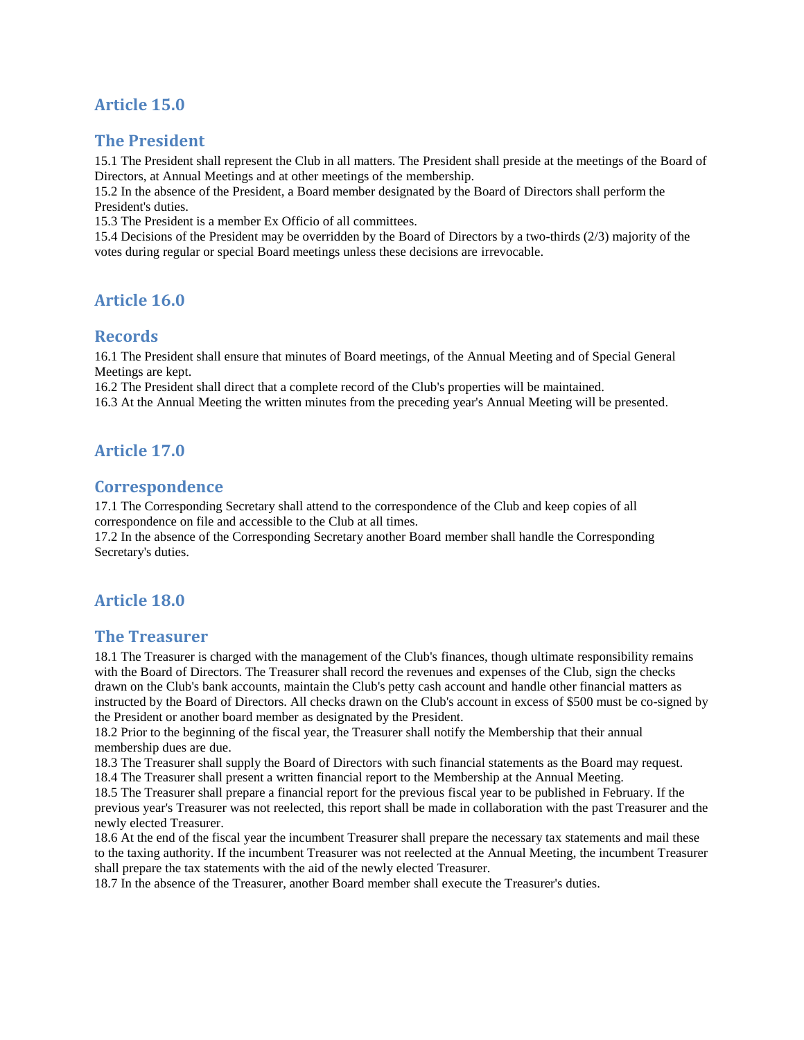# **Article 15.0**

### **The President**

15.1 The President shall represent the Club in all matters. The President shall preside at the meetings of the Board of Directors, at Annual Meetings and at other meetings of the membership.

15.2 In the absence of the President, a Board member designated by the Board of Directors shall perform the President's duties.

15.3 The President is a member Ex Officio of all committees.

15.4 Decisions of the President may be overridden by the Board of Directors by a two-thirds (2/3) majority of the votes during regular or special Board meetings unless these decisions are irrevocable.

### **Article 16.0**

#### **Records**

16.1 The President shall ensure that minutes of Board meetings, of the Annual Meeting and of Special General Meetings are kept.

16.2 The President shall direct that a complete record of the Club's properties will be maintained.

16.3 At the Annual Meeting the written minutes from the preceding year's Annual Meeting will be presented.

### **Article 17.0**

### **Correspondence**

17.1 The Corresponding Secretary shall attend to the correspondence of the Club and keep copies of all correspondence on file and accessible to the Club at all times.

17.2 In the absence of the Corresponding Secretary another Board member shall handle the Corresponding Secretary's duties.

### **Article 18.0**

#### **The Treasurer**

18.1 The Treasurer is charged with the management of the Club's finances, though ultimate responsibility remains with the Board of Directors. The Treasurer shall record the revenues and expenses of the Club, sign the checks drawn on the Club's bank accounts, maintain the Club's petty cash account and handle other financial matters as instructed by the Board of Directors. All checks drawn on the Club's account in excess of \$500 must be co-signed by the President or another board member as designated by the President.

18.2 Prior to the beginning of the fiscal year, the Treasurer shall notify the Membership that their annual membership dues are due.

18.3 The Treasurer shall supply the Board of Directors with such financial statements as the Board may request. 18.4 The Treasurer shall present a written financial report to the Membership at the Annual Meeting.

18.5 The Treasurer shall prepare a financial report for the previous fiscal year to be published in February. If the previous year's Treasurer was not reelected, this report shall be made in collaboration with the past Treasurer and the newly elected Treasurer.

18.6 At the end of the fiscal year the incumbent Treasurer shall prepare the necessary tax statements and mail these to the taxing authority. If the incumbent Treasurer was not reelected at the Annual Meeting, the incumbent Treasurer shall prepare the tax statements with the aid of the newly elected Treasurer.

18.7 In the absence of the Treasurer, another Board member shall execute the Treasurer's duties.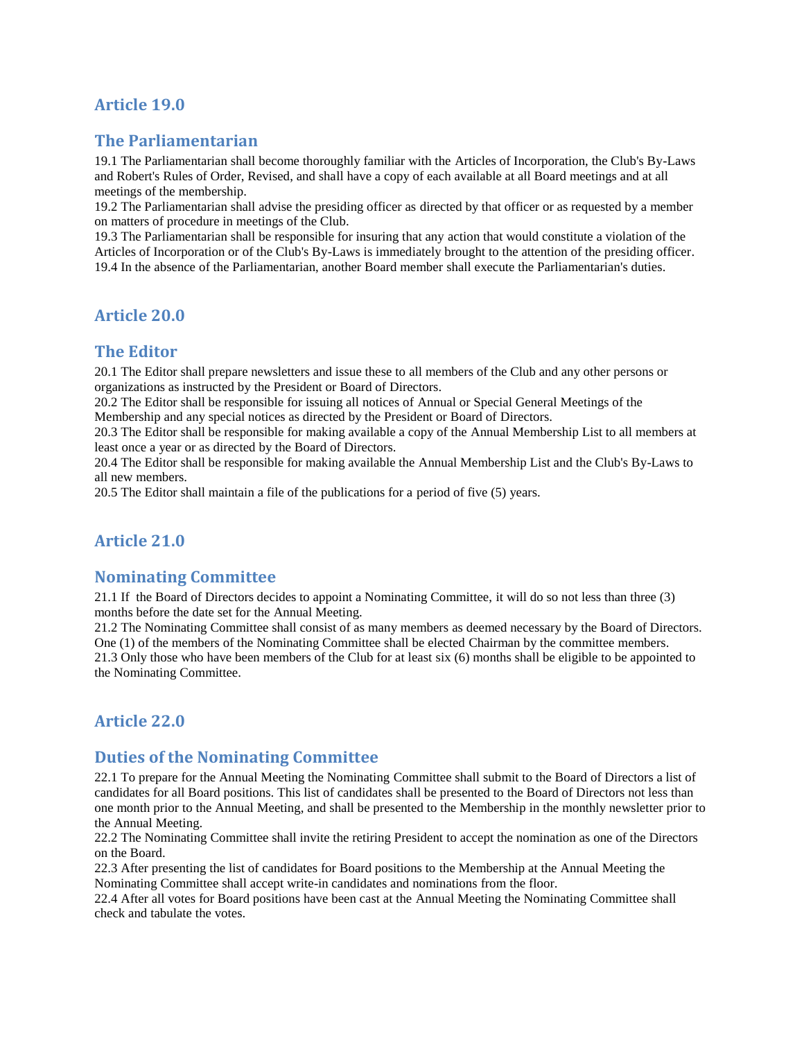# **Article 19.0**

### **The Parliamentarian**

19.1 The Parliamentarian shall become thoroughly familiar with the Articles of Incorporation, the Club's By-Laws and Robert's Rules of Order, Revised, and shall have a copy of each available at all Board meetings and at all meetings of the membership.

19.2 The Parliamentarian shall advise the presiding officer as directed by that officer or as requested by a member on matters of procedure in meetings of the Club.

19.3 The Parliamentarian shall be responsible for insuring that any action that would constitute a violation of the Articles of Incorporation or of the Club's By-Laws is immediately brought to the attention of the presiding officer. 19.4 In the absence of the Parliamentarian, another Board member shall execute the Parliamentarian's duties.

### **Article 20.0**

### **The Editor**

20.1 The Editor shall prepare newsletters and issue these to all members of the Club and any other persons or organizations as instructed by the President or Board of Directors.

20.2 The Editor shall be responsible for issuing all notices of Annual or Special General Meetings of the Membership and any special notices as directed by the President or Board of Directors.

20.3 The Editor shall be responsible for making available a copy of the Annual Membership List to all members at least once a year or as directed by the Board of Directors.

20.4 The Editor shall be responsible for making available the Annual Membership List and the Club's By-Laws to all new members.

20.5 The Editor shall maintain a file of the publications for a period of five (5) years.

### **Article 21.0**

### **Nominating Committee**

21.1 If the Board of Directors decides to appoint a Nominating Committee, it will do so not less than three (3) months before the date set for the Annual Meeting.

21.2 The Nominating Committee shall consist of as many members as deemed necessary by the Board of Directors. One (1) of the members of the Nominating Committee shall be elected Chairman by the committee members. 21.3 Only those who have been members of the Club for at least six (6) months shall be eligible to be appointed to the Nominating Committee.

### **Article 22.0**

### **Duties of the Nominating Committee**

22.1 To prepare for the Annual Meeting the Nominating Committee shall submit to the Board of Directors a list of candidates for all Board positions. This list of candidates shall be presented to the Board of Directors not less than one month prior to the Annual Meeting, and shall be presented to the Membership in the monthly newsletter prior to the Annual Meeting.

22.2 The Nominating Committee shall invite the retiring President to accept the nomination as one of the Directors on the Board.

22.3 After presenting the list of candidates for Board positions to the Membership at the Annual Meeting the Nominating Committee shall accept write-in candidates and nominations from the floor.

22.4 After all votes for Board positions have been cast at the Annual Meeting the Nominating Committee shall check and tabulate the votes.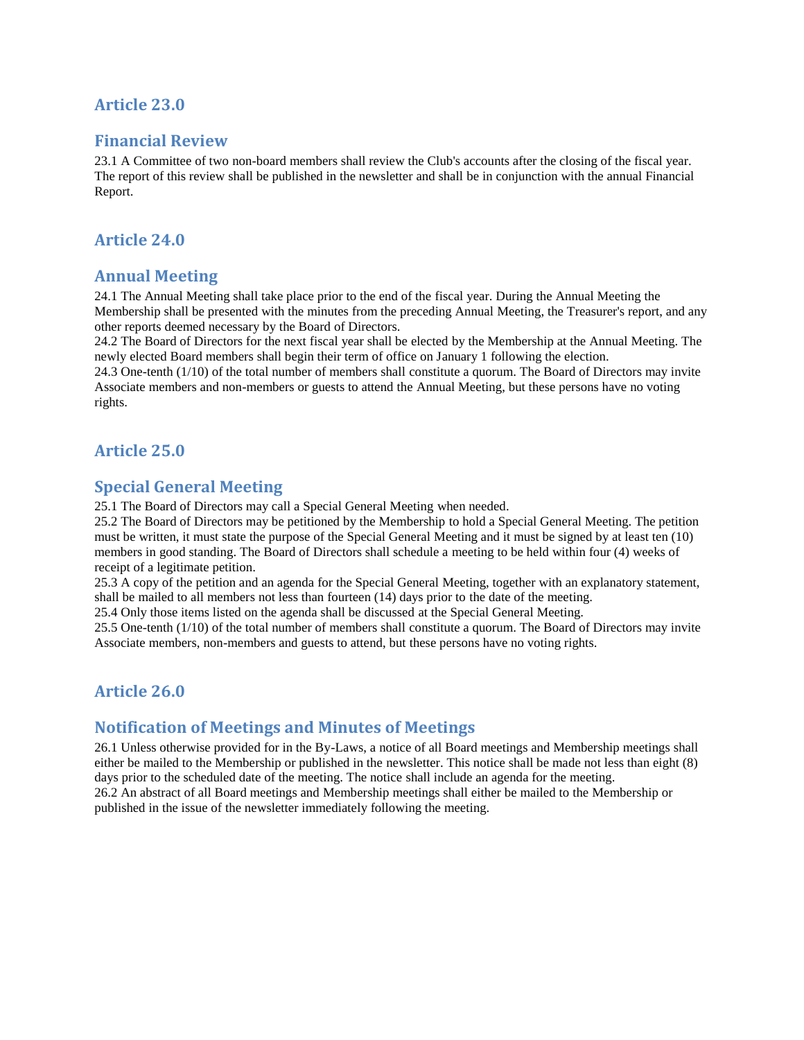### **Article 23.0**

### **Financial Review**

23.1 A Committee of two non-board members shall review the Club's accounts after the closing of the fiscal year. The report of this review shall be published in the newsletter and shall be in conjunction with the annual Financial Report.

### **Article 24.0**

#### **Annual Meeting**

24.1 The Annual Meeting shall take place prior to the end of the fiscal year. During the Annual Meeting the Membership shall be presented with the minutes from the preceding Annual Meeting, the Treasurer's report, and any other reports deemed necessary by the Board of Directors.

24.2 The Board of Directors for the next fiscal year shall be elected by the Membership at the Annual Meeting. The newly elected Board members shall begin their term of office on January 1 following the election.

24.3 One-tenth (1/10) of the total number of members shall constitute a quorum. The Board of Directors may invite Associate members and non-members or guests to attend the Annual Meeting, but these persons have no voting rights.

### **Article 25.0**

### **Special General Meeting**

25.1 The Board of Directors may call a Special General Meeting when needed.

25.2 The Board of Directors may be petitioned by the Membership to hold a Special General Meeting. The petition must be written, it must state the purpose of the Special General Meeting and it must be signed by at least ten (10) members in good standing. The Board of Directors shall schedule a meeting to be held within four (4) weeks of receipt of a legitimate petition.

25.3 A copy of the petition and an agenda for the Special General Meeting, together with an explanatory statement, shall be mailed to all members not less than fourteen (14) days prior to the date of the meeting.

25.4 Only those items listed on the agenda shall be discussed at the Special General Meeting.

25.5 One-tenth (1/10) of the total number of members shall constitute a quorum. The Board of Directors may invite Associate members, non-members and guests to attend, but these persons have no voting rights.

### **Article 26.0**

#### **Notification of Meetings and Minutes of Meetings**

26.1 Unless otherwise provided for in the By-Laws, a notice of all Board meetings and Membership meetings shall either be mailed to the Membership or published in the newsletter. This notice shall be made not less than eight (8) days prior to the scheduled date of the meeting. The notice shall include an agenda for the meeting. 26.2 An abstract of all Board meetings and Membership meetings shall either be mailed to the Membership or published in the issue of the newsletter immediately following the meeting.